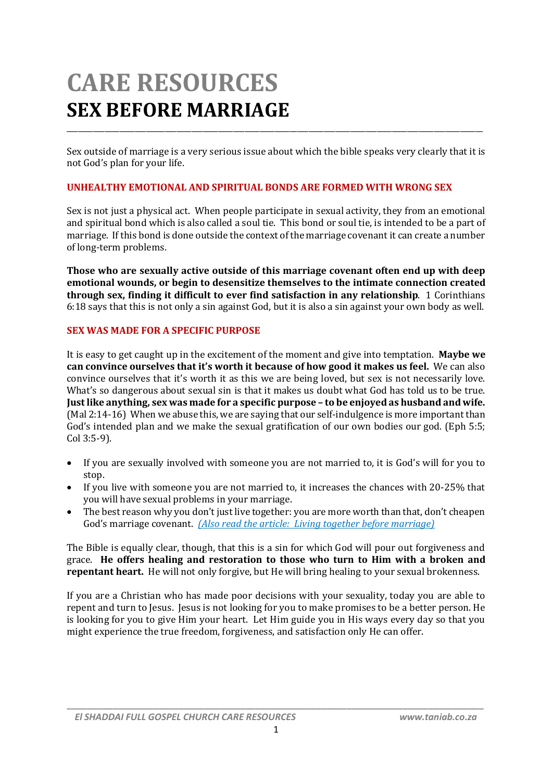# **CARE RESOURCES SEX BEFORE MARRIAGE**

Sex outside of marriage is a very serious issue about which the bible speaks very clearly that it is not God's plan for your life.

\_\_\_\_\_\_\_\_\_\_\_\_\_\_\_\_\_\_\_\_\_\_\_\_\_\_\_\_\_\_\_\_\_\_\_\_\_\_\_\_\_\_\_\_\_\_\_\_\_\_\_\_\_\_\_\_\_\_\_\_\_\_\_\_\_\_\_\_\_\_\_\_\_\_\_\_\_\_\_\_\_\_\_\_\_\_\_\_\_\_\_\_\_\_\_\_\_\_\_\_\_\_\_\_\_\_\_\_\_\_

#### **UNHEALTHY EMOTIONAL AND SPIRITUAL BONDS ARE FORMED WITH WRONG SEX**

Sex is not just a physical act. When people participate in sexual activity, they from an emotional and spiritual bond which is also called a soul tie. This bond or soul tie, is intended to be a part of marriage. If this bond is done outside the context of the marriage covenant it can create a number of long-term problems.

**Those who are sexually active outside of this marriage covenant often end up with deep emotional wounds, or begin to desensitize themselves to the intimate connection created through sex, finding it difficult to ever find satisfaction in any relationship**. 1 Corinthians 6:18 says that this is not only a sin against God, but it is also a sin against your own body as well.

#### **SEX WAS MADE FOR A SPECIFIC PURPOSE**

It is easy to get caught up in the excitement of the moment and give into temptation. **Maybe we can convince ourselves that it's worth it because of how good it makes us feel.** We can also convince ourselves that it's worth it as this we are being loved, but sex is not necessarily love. What's so dangerous about sexual sin is that it makes us doubt what God has told us to be true. **Just like anything, sex was made for a specific purpose – to be enjoyed as husband and wife.** (Mal 2:14-16) When we abuse this, we are saying that our self-indulgence is more important than God's intended plan and we make the sexual gratification of our own bodies our god. (Eph 5:5; Col 3:5-9).

- If you are sexually involved with someone you are not married to, it is God's will for you to stop.
- If you live with someone you are not married to, it increases the chances with 20-25% that you will have sexual problems in your marriage.
- The best reason why you don't just live together: you are more worth than that, don't cheapen God's marriage covenant. *(Also read the article: Living together before marriage)*

The Bible is equally clear, though, that this is a sin for which God will pour out forgiveness and grace. **He offers healing and restoration to those who turn to Him with a broken and repentant heart.** He will not only forgive, but He will bring healing to your sexual brokenness.

If you are a Christian who has made poor decisions with your sexuality, today you are able to repent and turn to Jesus. Jesus is not looking for you to make promises to be a better person. He is looking for you to give Him your heart. Let Him guide you in His ways every day so that you might experience the true freedom, forgiveness, and satisfaction only He can offer.

*\_\_\_\_\_\_\_\_\_\_\_\_\_\_\_\_\_\_\_\_\_\_\_\_\_\_\_\_\_\_\_\_\_\_\_\_\_\_\_\_\_\_\_\_\_\_\_\_\_\_\_\_\_\_\_\_\_\_\_\_\_\_\_\_\_\_\_\_\_\_\_\_\_\_\_\_\_\_\_\_\_\_*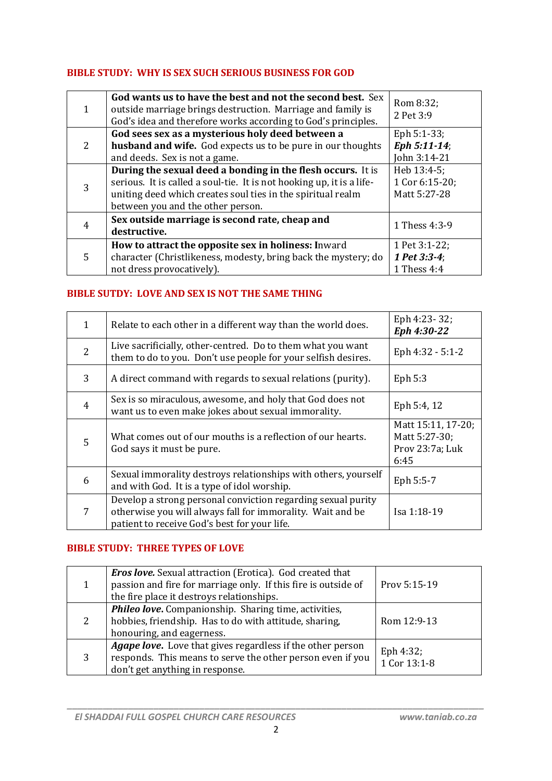## **BIBLE STUDY: WHY IS SEX SUCH SERIOUS BUSINESS FOR GOD**

| 1 | God wants us to have the best and not the second best. Sex<br>outside marriage brings destruction. Marriage and family is<br>God's idea and therefore works according to God's principles.                                               | Rom 8:32;<br>2 Pet 3:9                        |
|---|------------------------------------------------------------------------------------------------------------------------------------------------------------------------------------------------------------------------------------------|-----------------------------------------------|
| 2 | God sees sex as a mysterious holy deed between a<br><b>husband and wife.</b> God expects us to be pure in our thoughts                                                                                                                   | Eph $5:1-33$ ;<br>Eph 5:11-14;                |
|   | and deeds. Sex is not a game.                                                                                                                                                                                                            | John 3:14-21                                  |
| 3 | During the sexual deed a bonding in the flesh occurs. It is<br>serious. It is called a soul-tie. It is not hooking up, it is a life-<br>uniting deed which creates soul ties in the spiritual realm<br>between you and the other person. | Heb 13:4-5;<br>1 Cor 6:15-20;<br>Matt 5:27-28 |
| 4 | Sex outside marriage is second rate, cheap and<br>destructive.                                                                                                                                                                           | 1 Thess 4:3-9                                 |
| 5 | How to attract the opposite sex in holiness: Inward<br>character (Christlikeness, modesty, bring back the mystery; do<br>not dress provocatively).                                                                                       | 1 Pet 3:1-22;<br>1 Pet 3:3-4;<br>1 Thess 4:4  |

# **BIBLE SUTDY: LOVE AND SEX IS NOT THE SAME THING**

| $\mathbf{1}$   | Relate to each other in a different way than the world does.                                                                                                               | Eph 4:23-32;<br>Eph 4:30-22                                    |
|----------------|----------------------------------------------------------------------------------------------------------------------------------------------------------------------------|----------------------------------------------------------------|
| $\overline{2}$ | Live sacrificially, other-centred. Do to them what you want<br>them to do to you. Don't use people for your selfish desires.                                               | Eph 4:32 - 5:1-2                                               |
| 3              | A direct command with regards to sexual relations (purity).                                                                                                                | Eph $5:3$                                                      |
| $\overline{4}$ | Sex is so miraculous, awesome, and holy that God does not<br>want us to even make jokes about sexual immorality.                                                           | Eph 5:4, 12                                                    |
| 5              | What comes out of our mouths is a reflection of our hearts.<br>God says it must be pure.                                                                                   | Matt 15:11, 17-20;<br>Matt 5:27-30;<br>Prov 23:7a; Luk<br>6:45 |
| 6              | Sexual immorality destroys relationships with others, yourself<br>and with God. It is a type of idol worship.                                                              | Eph 5:5-7                                                      |
| 7              | Develop a strong personal conviction regarding sexual purity<br>otherwise you will always fall for immorality. Wait and be<br>patient to receive God's best for your life. | Isa 1:18-19                                                    |

## **BIBLE STUDY: THREE TYPES OF LOVE**

|   | <b>Eros love.</b> Sexual attraction (Erotica). God created that<br>passion and fire for marriage only. If this fire is outside of<br>the fire place it destroys relationships. | Prov 5:15-19              |
|---|--------------------------------------------------------------------------------------------------------------------------------------------------------------------------------|---------------------------|
| 2 | <b>Phileo love.</b> Companionship. Sharing time, activities,<br>hobbies, friendship. Has to do with attitude, sharing,<br>honouring, and eagerness.                            | Rom 12:9-13               |
| 3 | <b>Agape love.</b> Love that gives regardless if the other person<br>responds. This means to serve the other person even if you<br>don't get anything in response.             | Eph 4:32;<br>1 Cor 13:1-8 |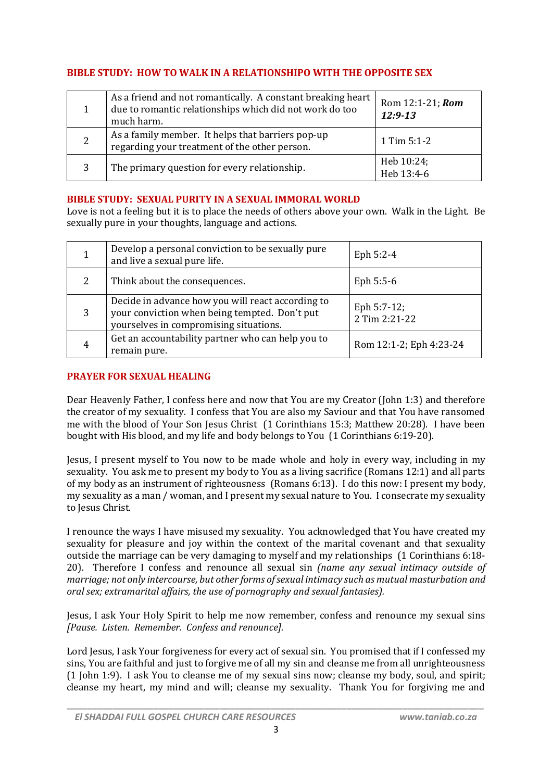## **BIBLE STUDY: HOW TO WALK IN A RELATIONSHIPO WITH THE OPPOSITE SEX**

|   | As a friend and not romantically. A constant breaking heart<br>due to romantic relationships which did not work do too<br>much harm. | Rom 12:1-21; Rom<br>$12:9-13$ |
|---|--------------------------------------------------------------------------------------------------------------------------------------|-------------------------------|
| 2 | As a family member. It helps that barriers pop-up<br>regarding your treatment of the other person.                                   | 1 Tim 5:1-2                   |
|   | The primary question for every relationship.                                                                                         | Heb 10:24;<br>Heb 13:4-6      |

## **BIBLE STUDY: SEXUAL PURITY IN A SEXUAL IMMORAL WORLD**

Love is not a feeling but it is to place the needs of others above your own. Walk in the Light. Be sexually pure in your thoughts, language and actions.

|   | Develop a personal conviction to be sexually pure<br>and live a sexual pure life.                                                            | Eph 5:2-4                    |
|---|----------------------------------------------------------------------------------------------------------------------------------------------|------------------------------|
| 2 | Think about the consequences.                                                                                                                | Eph $5:5-6$                  |
| 3 | Decide in advance how you will react according to<br>your conviction when being tempted. Don't put<br>yourselves in compromising situations. | Eph 5:7-12;<br>2 Tim 2:21-22 |
| 4 | Get an accountability partner who can help you to<br>remain pure.                                                                            | Rom 12:1-2; Eph 4:23-24      |

## **PRAYER FOR SEXUAL HEALING**

Dear Heavenly Father, I confess here and now that You are my Creator (John 1:3) and therefore the creator of my sexuality. I confess that You are also my Saviour and that You have ransomed me with the blood of Your Son Jesus Christ (1 Corinthians 15:3; Matthew 20:28). I have been bought with His blood, and my life and body belongs to You (1 Corinthians 6:19-20).

Jesus, I present myself to You now to be made whole and holy in every way, including in my sexuality. You ask me to present my body to You as a living sacrifice (Romans 12:1) and all parts of my body as an instrument of righteousness (Romans 6:13). I do this now: I present my body, my sexuality as a man / woman, and I present my sexual nature to You. I consecrate my sexuality to Jesus Christ.

I renounce the ways I have misused my sexuality. You acknowledged that You have created my sexuality for pleasure and joy within the context of the marital covenant and that sexuality outside the marriage can be very damaging to myself and my relationships (1 Corinthians 6:18- 20). Therefore I confess and renounce all sexual sin *(name any sexual intimacy outside of marriage; not only intercourse, but other forms ofsexual intimacy such as mutual masturbation and oral sex; extramarital affairs, the use of pornography and sexual fantasies).*

Jesus, I ask Your Holy Spirit to help me now remember, confess and renounce my sexual sins *[Pause. Listen. Remember. Confess and renounce].*

Lord Jesus, I ask Your forgiveness for every act of sexual sin. You promised that if I confessed my sins, You are faithful and just to forgive me of all my sin and cleanse me from all unrighteousness (1 John 1:9). I ask You to cleanse me of my sexual sins now; cleanse my body, soul, and spirit; cleanse my heart, my mind and will; cleanse my sexuality. Thank You for forgiving me and

*\_\_\_\_\_\_\_\_\_\_\_\_\_\_\_\_\_\_\_\_\_\_\_\_\_\_\_\_\_\_\_\_\_\_\_\_\_\_\_\_\_\_\_\_\_\_\_\_\_\_\_\_\_\_\_\_\_\_\_\_\_\_\_\_\_\_\_\_\_\_\_\_\_\_\_\_\_\_\_\_\_\_*